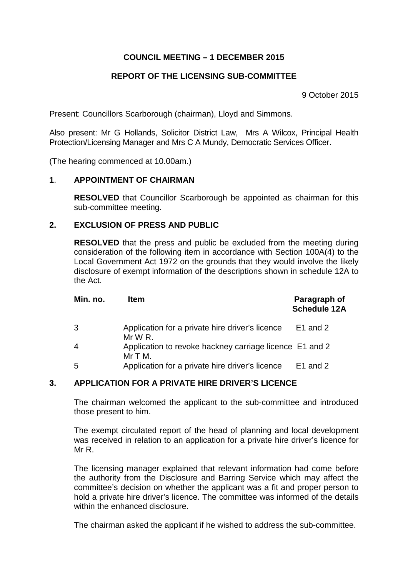# **COUNCIL MEETING – 1 DECEMBER 2015**

# **REPORT OF THE LICENSING SUB-COMMITTEE**

9 October 2015

Present: Councillors Scarborough (chairman), Lloyd and Simmons.

Also present: Mr G Hollands, Solicitor District Law, Mrs A Wilcox, Principal Health Protection/Licensing Manager and Mrs C A Mundy, Democratic Services Officer.

(The hearing commenced at 10.00am.)

#### **1**. **APPOINTMENT OF CHAIRMAN**

**RESOLVED** that Councillor Scarborough be appointed as chairman for this sub-committee meeting.

### **2. EXCLUSION OF PRESS AND PUBLIC**

**RESOLVED** that the press and public be excluded from the meeting during consideration of the following item in accordance with Section 100A(4) to the Local Government Act 1972 on the grounds that they would involve the likely disclosure of exempt information of the descriptions shown in schedule 12A to the Act.

| Min. no.       | <b>Item</b>                                                           | Paragraph of<br><b>Schedule 12A</b> |
|----------------|-----------------------------------------------------------------------|-------------------------------------|
| 3              | Application for a private hire driver's licence<br>$MrW R$ .          | E1 and 2                            |
| $\overline{4}$ | Application to revoke hackney carriage licence E1 and 2<br>$Mr T M$ . |                                     |
| 5              | Application for a private hire driver's licence                       | E1 and 2                            |

### **3. APPLICATION FOR A PRIVATE HIRE DRIVER'S LICENCE**

The chairman welcomed the applicant to the sub-committee and introduced those present to him.

The exempt circulated report of the head of planning and local development was received in relation to an application for a private hire driver's licence for Mr R.

The licensing manager explained that relevant information had come before the authority from the Disclosure and Barring Service which may affect the committee's decision on whether the applicant was a fit and proper person to hold a private hire driver's licence. The committee was informed of the details within the enhanced disclosure.

The chairman asked the applicant if he wished to address the sub-committee.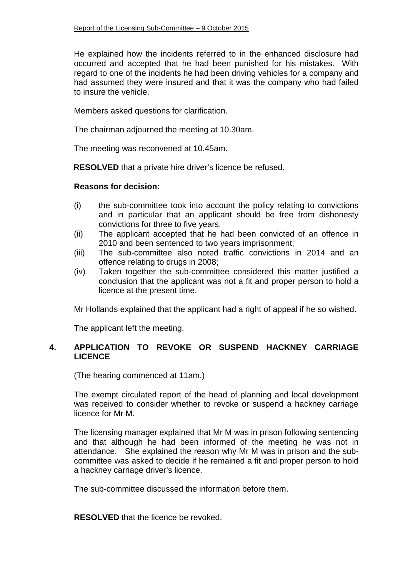He explained how the incidents referred to in the enhanced disclosure had occurred and accepted that he had been punished for his mistakes. With regard to one of the incidents he had been driving vehicles for a company and had assumed they were insured and that it was the company who had failed to insure the vehicle.

Members asked questions for clarification.

The chairman adjourned the meeting at 10.30am.

The meeting was reconvened at 10.45am.

**RESOLVED** that a private hire driver's licence be refused.

### **Reasons for decision:**

- (i) the sub-committee took into account the policy relating to convictions and in particular that an applicant should be free from dishonesty convictions for three to five years.
- (ii) The applicant accepted that he had been convicted of an offence in 2010 and been sentenced to two years imprisonment;
- (iii) The sub-committee also noted traffic convictions in 2014 and an offence relating to drugs in 2008;
- (iv) Taken together the sub-committee considered this matter justified a conclusion that the applicant was not a fit and proper person to hold a licence at the present time.

Mr Hollands explained that the applicant had a right of appeal if he so wished.

The applicant left the meeting.

# **4. APPLICATION TO REVOKE OR SUSPEND HACKNEY CARRIAGE LICENCE**

(The hearing commenced at 11am.)

The exempt circulated report of the head of planning and local development was received to consider whether to revoke or suspend a hackney carriage licence for Mr M.

The licensing manager explained that Mr M was in prison following sentencing and that although he had been informed of the meeting he was not in attendance. She explained the reason why Mr M was in prison and the subcommittee was asked to decide if he remained a fit and proper person to hold a hackney carriage driver's licence.

The sub-committee discussed the information before them.

**RESOLVED** that the licence be revoked.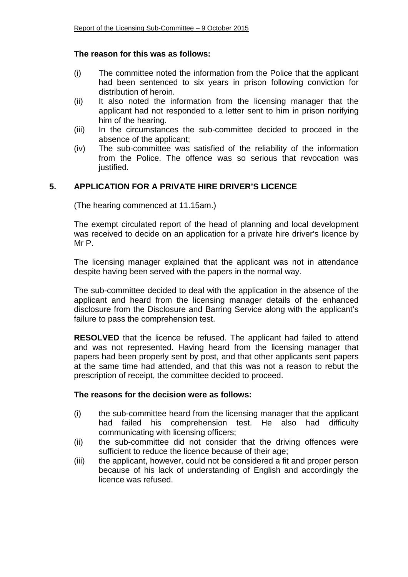### **The reason for this was as follows:**

- (i) The committee noted the information from the Police that the applicant had been sentenced to six years in prison following conviction for distribution of heroin.
- (ii) It also noted the information from the licensing manager that the applicant had not responded to a letter sent to him in prison norifying him of the hearing.
- (iii) In the circumstances the sub-committee decided to proceed in the absence of the applicant;
- (iv) The sub-committee was satisfied of the reliability of the information from the Police. The offence was so serious that revocation was justified.

# **5. APPLICATION FOR A PRIVATE HIRE DRIVER'S LICENCE**

(The hearing commenced at 11.15am.)

The exempt circulated report of the head of planning and local development was received to decide on an application for a private hire driver's licence by Mr P.

The licensing manager explained that the applicant was not in attendance despite having been served with the papers in the normal way.

The sub-committee decided to deal with the application in the absence of the applicant and heard from the licensing manager details of the enhanced disclosure from the Disclosure and Barring Service along with the applicant's failure to pass the comprehension test.

**RESOLVED** that the licence be refused. The applicant had failed to attend and was not represented. Having heard from the licensing manager that papers had been properly sent by post, and that other applicants sent papers at the same time had attended, and that this was not a reason to rebut the prescription of receipt, the committee decided to proceed.

### **The reasons for the decision were as follows:**

- (i) the sub-committee heard from the licensing manager that the applicant had failed his comprehension test. He also had difficulty communicating with licensing officers;
- (ii) the sub-committee did not consider that the driving offences were sufficient to reduce the licence because of their age;
- (iii) the applicant, however, could not be considered a fit and proper person because of his lack of understanding of English and accordingly the licence was refused.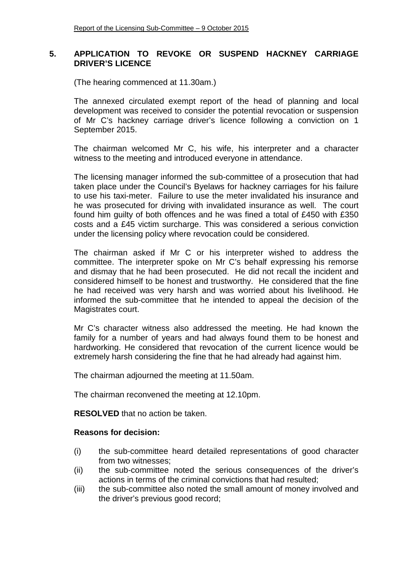### **5. APPLICATION TO REVOKE OR SUSPEND HACKNEY CARRIAGE DRIVER'S LICENCE**

(The hearing commenced at 11.30am.)

The annexed circulated exempt report of the head of planning and local development was received to consider the potential revocation or suspension of Mr C's hackney carriage driver's licence following a conviction on 1 September 2015.

The chairman welcomed Mr C, his wife, his interpreter and a character witness to the meeting and introduced everyone in attendance.

The licensing manager informed the sub-committee of a prosecution that had taken place under the Council's Byelaws for hackney carriages for his failure to use his taxi-meter. Failure to use the meter invalidated his insurance and he was prosecuted for driving with invalidated insurance as well. The court found him guilty of both offences and he was fined a total of £450 with £350 costs and a £45 victim surcharge. This was considered a serious conviction under the licensing policy where revocation could be considered.

The chairman asked if Mr C or his interpreter wished to address the committee. The interpreter spoke on Mr C's behalf expressing his remorse and dismay that he had been prosecuted. He did not recall the incident and considered himself to be honest and trustworthy. He considered that the fine he had received was very harsh and was worried about his livelihood. He informed the sub-committee that he intended to appeal the decision of the Magistrates court.

Mr C's character witness also addressed the meeting. He had known the family for a number of years and had always found them to be honest and hardworking. He considered that revocation of the current licence would be extremely harsh considering the fine that he had already had against him.

The chairman adjourned the meeting at 11.50am.

The chairman reconvened the meeting at 12.10pm.

**RESOLVED** that no action be taken.

### **Reasons for decision:**

- (i) the sub-committee heard detailed representations of good character from two witnesses;
- (ii) the sub-committee noted the serious consequences of the driver's actions in terms of the criminal convictions that had resulted;
- (iii) the sub-committee also noted the small amount of money involved and the driver's previous good record;